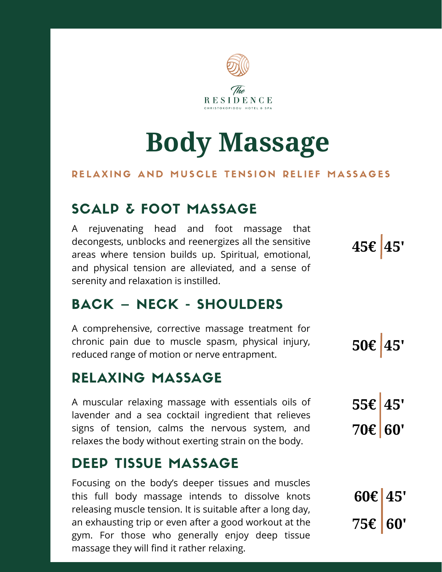

# **Body Massage**

#### RELAXING AND MUSCLE TENSION RELIEF MASSAGES

### SCALP & FOOT MASSAGE

A rejuvenating head and foot massage that decongests, unblocks and reenergizes all the sensitive areas where tension builds up. Spiritual, emotional, and physical tension are alleviated, and a sense of serenity and relaxation is instilled.

### BACK – NECK - SHOULDERS

A comprehensive, corrective massage treatment for chronic pain due to muscle spasm, physical injury, reduced range of motion or nerve entrapment.

#### RELAXING MASSAGE

A muscular relaxing massage with essentials oils of lavender and a sea cocktail ingredient that relieves signs of tension, calms the nervous system, and relaxes the body without exerting strain on the body.

### DEEP TISSUE MASSAGE

Focusing on the body's deeper tissues and muscles this full body massage intends to dissolve knots releasing muscle tension. It is suitable after a long day, an exhausting trip or even after a good workout at the gym. For those who generally enjoy deep tissue massage they will find it rather relaxing.

**45€ 45'**

**50€ 45'**

**55€ 45' 70€ 60'**

**60€ 45' 75€ 60'**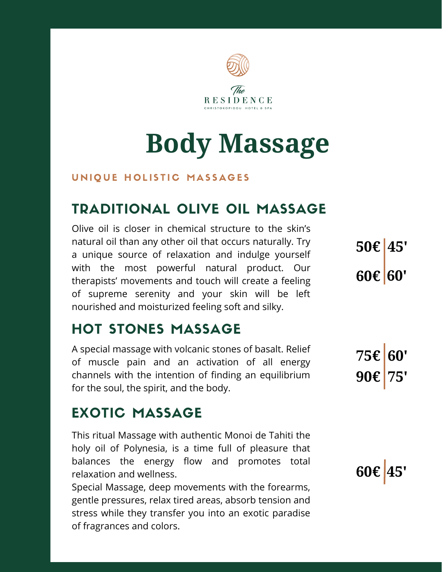

# **Body Massage**

#### UNIQUE HOLISTIC MASSAGES

### TRADITIONAL OLIVE OIL MASSAGE

Olive oil is closer in chemical structure to the skin's natural oil than any other oil that occurs naturally. Try a unique source of relaxation and indulge yourself with the most powerful natural product. Our therapists' movements and touch will create a feeling of supreme serenity and your skin will be left nourished and moisturized feeling soft and silky.

### HOT STONES MASSAGE

A special massage with volcanic stones of basalt. Relief of muscle pain and an activation of all energy channels with the intention of finding an equilibrium for the soul, the spirit, and the body.

### EXOTIC MASSAGE

This ritual Massage with authentic Monoi de Tahiti the holy oil of Polynesia, is a time full of pleasure that balances the energy flow and promotes total relaxation and wellness.

Special Massage, deep movements with the forearms, gentle pressures, relax tired areas, absorb tension and stress while they transfer you into an exotic paradise of fragrances and colors.

**50€ 45' 60€ 60'**

**75€ 60' 90€ 75'**

**60€ 45'**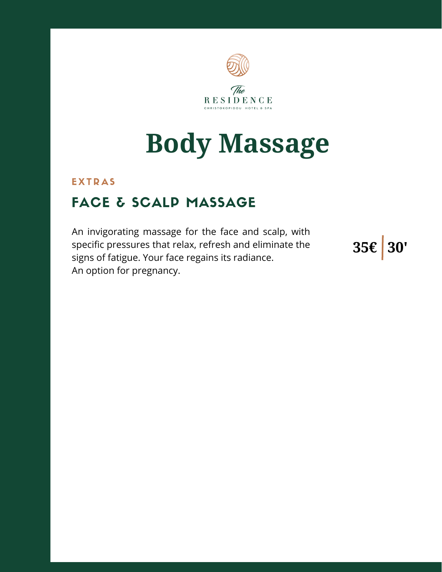

# **Body Massage**

#### **EXTRAS**

### FACE & SCALP MASSAGE

An invigorating massage for the face and scalp, with specific pressures that relax, refresh and eliminate the signs of fatigue. Your face regains its radiance. An option for pregnancy.

**35€ 30'**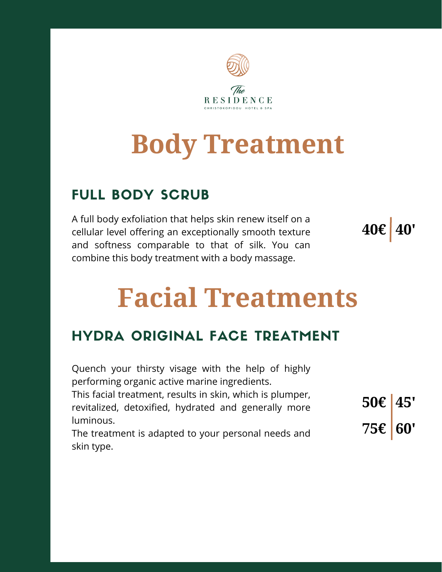

# **Body Treatment**

### FULL BODY SCRUB

A full body exfoliation that helps skin renew itself on a cellular level offering an exceptionally smooth texture and softness comparable to that of silk. You can combine this body treatment with a body massage.



# **Facial Treatments**

### HYDRA ORIGINAL FACE TREATMENT

| Quench your thirsty visage with the help of highly        |                          |  |
|-----------------------------------------------------------|--------------------------|--|
| performing organic active marine ingredients.             |                          |  |
| This facial treatment, results in skin, which is plumper, |                          |  |
| revitalized, detoxified, hydrated and generally more      | $50 \in \vert 45' \vert$ |  |
| luminous.                                                 |                          |  |
| The treatment is adapted to your personal needs and       | 75€ 60'                  |  |
| skin type.                                                |                          |  |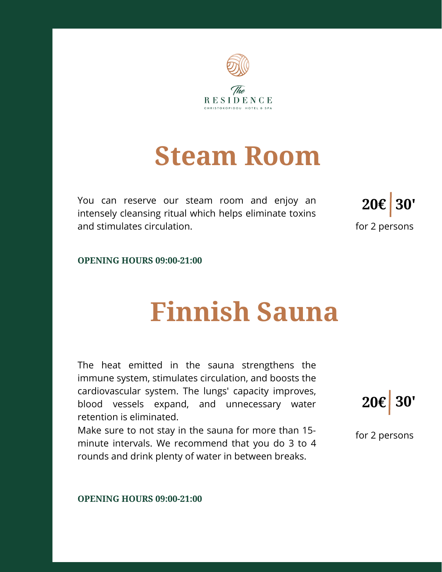

## **Steam Room**

You can reserve our steam room and enjoy an intensely cleansing ritual which helps eliminate toxins and stimulates circulation.



**OPENING HOURS 09:00-21:00**

### **Finnish Sauna**

The heat emitted in the sauna strengthens the immune system, stimulates circulation, and boosts the cardiovascular system. The lungs' capacity improves, blood vessels expand, and unnecessary water retention is eliminated.

Make sure to not stay in the sauna for more than 15 minute intervals. We recommend that you do 3 to 4 rounds and drink plenty of water in between breaks.



for 2 persons

**OPENING HOURS 09:00-21:00**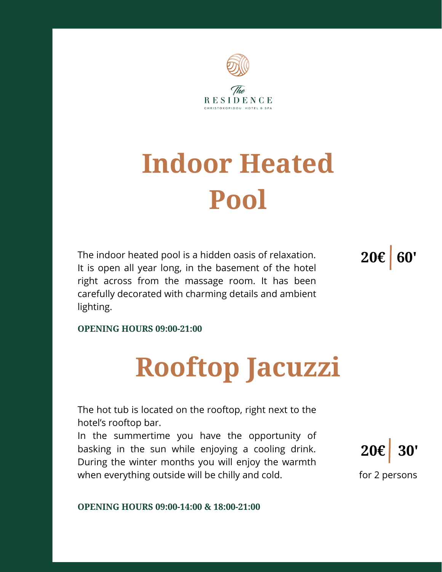

# **Indoor Heated Pool**

The indoor heated pool is a hidden oasis of relaxation. It is open all year long, in the basement of the hotel right across from the massage room. It has been carefully decorated with charming details and ambient lighting.

**20€ 60'**

**OPENING HOURS 09:00-21:00**

# **Rooftop Jacuzzi**

The hot tub is located on the rooftop, right next to the hotel's rooftop bar.

In the summertime you have the opportunity of basking in the sun while enjoying a cooling drink. During the winter months you will enjoy the warmth when everything outside will be chilly and cold.



**OPENING HOURS 09:00-14:00 & 18:00-21:00**